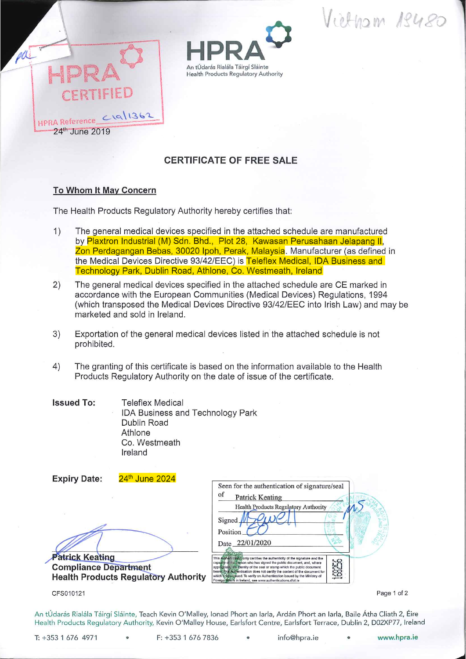Vietnam 18480





## CERTIFICATE OF FREE SALE

## To Whom It May Concern

The Health Products Regulatory Authority hereby certifies that:

- 1) The general medical devices specified in the attached schedule are manufactured by Plaxtron Industrial (M) Sdn. Bhd., Plot 28, Kawasan Perusahaan Jelapang II, Zon Perdagangan Bebas, 30020 Ipoh, Perak, Malaysia. Manufacturer (as defined in the Medical Devices Directive 93/42/EEC) is Teleflex Medical, IDA Business and Technology Park, Dublin Road, Athlone, Co. Westmeath, Ireland
- 2) The general medical devices specified in the attached schedule are CE marked in accordance with the European Communities (Medical Devices) Regulations, 1994 (which transposed the Medical Devices Directive 93/42/EEC into Irish Law) and may be marketed and sold in Ireland.
- 3) Exportation of the general medical devices listed in the attached schedule is not prohibited.
- 4) The granting of this certificate is based on the information available to the Health Products Regulatory Authority on the date of issue of the certificate.
- Teleflex Medical IDA Business and Technology Park Dublin Road Athlone Co. Westmeath Ireland Issued To:

| 24th June 2024<br><b>Expiry Date:</b>       |                                                                                                                                                                                                                                      |
|---------------------------------------------|--------------------------------------------------------------------------------------------------------------------------------------------------------------------------------------------------------------------------------------|
|                                             | Seen for the authentication of signature/seal                                                                                                                                                                                        |
|                                             | of<br><b>Patrick Keating</b>                                                                                                                                                                                                         |
|                                             | <b>Health Products Regulatory Authority</b>                                                                                                                                                                                          |
|                                             | Signed                                                                                                                                                                                                                               |
|                                             | Position                                                                                                                                                                                                                             |
|                                             | Date 22/01/2020                                                                                                                                                                                                                      |
| <b>Patrick Keating</b>                      | This Authentical/only certifies the authenticity of the signature and the<br>5.62                                                                                                                                                    |
| <b>Compliance Department</b>                | capagity of that person who has signed the public document, and, where<br>8<br>appropriate/life/dentity of the seal or stamp which the public document<br>bears this Authentication does not certify the content of the document for |
| <b>Health Products Regulatory Authority</b> | which it was issued. To verify an Authentication issued by the Ministry of<br>Foreign Atlairs in Ireland, see www.authentications.dlat.ie                                                                                            |
| CFS010121                                   | Page                                                                                                                                                                                                                                 |
|                                             |                                                                                                                                                                                                                                      |

Page 1 of 2

An tÚdarás Rialála Táirgí Sláinte, Teach Kevin O'Malley, Ionad Phort an Iarla, Ardán Phort an Iarla, Baile Átha Cliath 2, Éire Health Products Regulatory Authority, Kevin O'Malley House, Earlsfort Centre, Earlsfort Terrace, Dublin 2, D02XP77, Ireland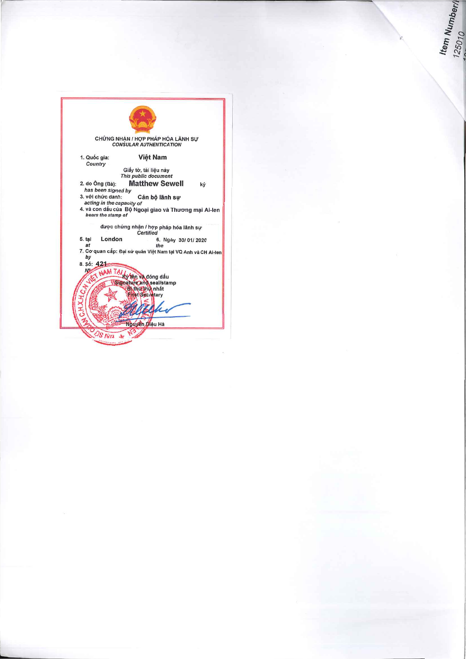

ltem Numberl<br>125010